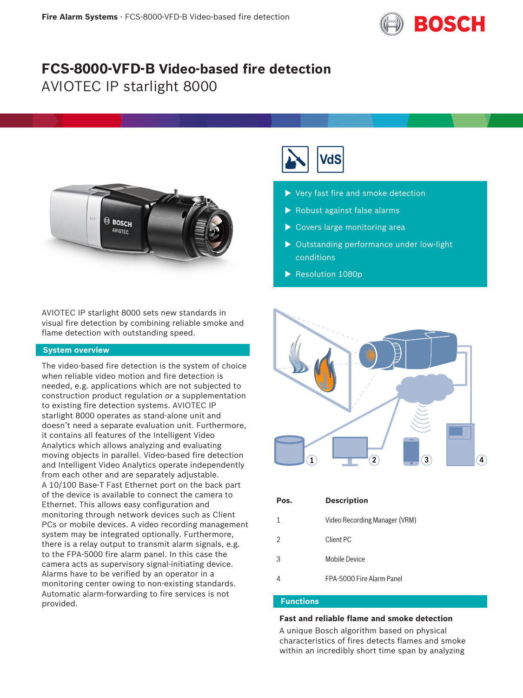

# **FCS-8000-VFD-B Video-based fire detection** AVIOTEC IP starlight 8000



AVIOTEC IP starlight 8000 sets new standards in visual fire detection by combining reliable smoke and flame detection with outstanding speed.

# **System overview**

The video-based fire detection is the system of choice when reliable video motion and fire detection is needed, e.g. applications which are not subjected to construction product regulation or a supplementation to existing fire detection systems. AVIOTEC IP starlight 8000 operates as stand-alone unit and doesn't need a separate evaluation unit. Furthermore, it contains all features of the Intelligent Video Analytics which allows analyzing and evaluating moving objects in parallel. Video-based fire detection and Intelligent Video Analytics operate independently from each other and are separately adjustable. A 10/100 Base-T Fast Ethernet port on the back part of the device is available to connect the camera to Ethernet. This allows easy configuration and monitoring through network devices such as Client PCs or mobile devices. A video recording management system may be integrated optionally. Furthermore, there is a relay output to transmit alarm signals, e.g. to the FPA-5000 fire alarm panel. In this case the camera acts as supervisory signal-initiating device. Alarms have to be verified by an operator in a monitoring center owing to non-existing standards. Automatic alarm-forwarding to fire services is not provided.



- $\blacktriangleright$  Very fast fire and smoke detection
- $\blacktriangleright$  Robust against false alarms
- $\blacktriangleright$  Covers large monitoring area
- $\triangleright$  Outstanding performance under low-light conditions
- $\blacktriangleright$  Resolution 1080p



| Pos.          | <b>Description</b>            |
|---------------|-------------------------------|
|               | Video Recording Manager (VRM) |
| $\mathcal{D}$ | Client PC                     |
| 3             | Mobile Device                 |
|               | FPA-5000 Fire Alarm Panel     |

# **Functions**

# **Fast and reliable flame and smoke detection**

A unique Bosch algorithm based on physical characteristics of fires detects flames and smoke within an incredibly short time span by analyzing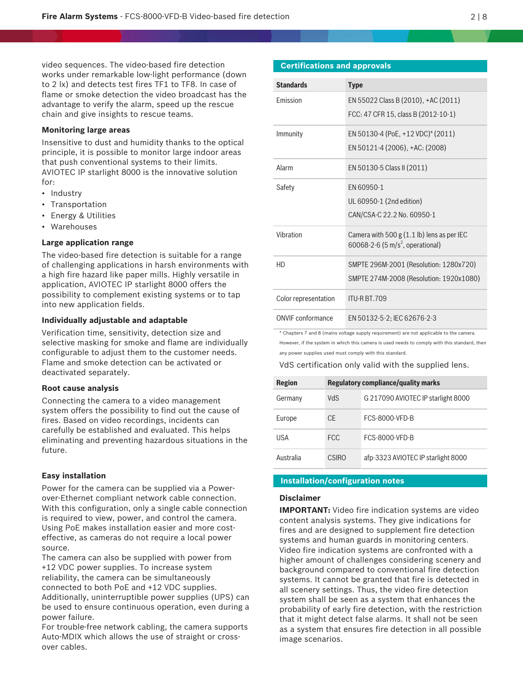video sequences. The video-based fire detection works under remarkable low-light performance (down to 2 lx) and detects test fires TF1 to TF8. In case of flame or smoke detection the video broadcast has the advantage to verify the alarm, speed up the rescue chain and give insights to rescue teams.

#### **Monitoring large areas**

Insensitive to dust and humidity thanks to the optical principle, it is possible to monitor large indoor areas that push conventional systems to their limits. AVIOTEC IP starlight 8000 is the innovative solution for:

- Industry
- Transportation
- Energy & Utilities
- Warehouses

# **Large application range**

The video-based fire detection is suitable for a range of challenging applications in harsh environments with a high fire hazard like paper mills. Highly versatile in application, AVIOTEC IP starlight 8000 offers the possibility to complement existing systems or to tap into new application fields.

# **Individually adjustable and adaptable**

Verification time, sensitivity, detection size and selective masking for smoke and flame are individually configurable to adjust them to the customer needs. Flame and smoke detection can be activated or deactivated separately.

#### **Root cause analysis**

Connecting the camera to a video management system offers the possibility to find out the cause of fires. Based on video recordings, incidents can carefully be established and evaluated. This helps eliminating and preventing hazardous situations in the future.

#### **Easy installation**

Power for the camera can be supplied via a Powerover-Ethernet compliant network cable connection. With this configuration, only a single cable connection is required to view, power, and control the camera. Using PoE makes installation easier and more costeffective, as cameras do not require a local power source.

The camera can also be supplied with power from +12 VDC power supplies. To increase system reliability, the camera can be simultaneously connected to both PoE and +12 VDC supplies.

Additionally, uninterruptible power supplies (UPS) can be used to ensure continuous operation, even during a power failure.

For trouble-free network cabling, the camera supports Auto-MDIX which allows the use of straight or crossover cables.

# **Certifications and approvals**

| <b>Standards</b>     | <b>Type</b>                                  |
|----------------------|----------------------------------------------|
| <b>Fmission</b>      | EN 55022 Class B (2010), +AC (2011)          |
|                      | FCC: 47 CFR 15, class B (2012-10-1)          |
| Immunity             | EN 50130-4 (PoE, +12 VDC)* (2011)            |
|                      | EN 50121-4 (2006), +AC: (2008)               |
| Alarm                | EN 50130-5 Class II (2011)                   |
| Safety               | EN 60950-1                                   |
|                      | UL 60950-1 (2nd edition)                     |
|                      | CAN/CSA-C 22.2 No. 60950-1                   |
| Vibration            | Camera with $500 g (1.1 lb)$ lens as per IEC |
|                      | 60068-2-6 (5 m/s <sup>2</sup> , operational) |
| H <sub>D</sub>       | SMPTE 296M-2001 (Resolution: 1280x720)       |
|                      | SMPTE 274M-2008 (Resolution: 1920x1080)      |
| Color representation | <b>ITU-R BT.709</b>                          |
| ONVIE conformance    | EN 50132-5-2: IEC 62676-2-3                  |

\* Chapters 7 and 8 (mains voltage supply requirement) are not applicable to the camera. However, if the system in which this camera is used needs to comply with this standard, then any power supplies used must comply with this standard.

#### VdS certification only valid with the supplied lens.

| <b>Region</b> | <b>Regulatory compliance/quality marks</b> |                                    |  |
|---------------|--------------------------------------------|------------------------------------|--|
| Germany       | <b>NdS</b>                                 | G 217090 AVIOTEC IP starlight 8000 |  |
| Europe        | CF                                         | FCS-8000-VED-B                     |  |
| USA           | FCC.                                       | FCS-8000-VED-B                     |  |
| Australia     | CSIRO                                      | afp-3323 AVIOTEC IP starlight 8000 |  |

#### **Installation/configuration notes**

# **Disclaimer**

**IMPORTANT:** Video fire indication systems are video content analysis systems. They give indications for fires and are designed to supplement fire detection systems and human guards in monitoring centers. Video fire indication systems are confronted with a higher amount of challenges considering scenery and background compared to conventional fire detection systems. It cannot be granted that fire is detected in all scenery settings. Thus, the video fire detection system shall be seen as a system that enhances the probability of early fire detection, with the restriction that it might detect false alarms. It shall not be seen as a system that ensures fire detection in all possible image scenarios.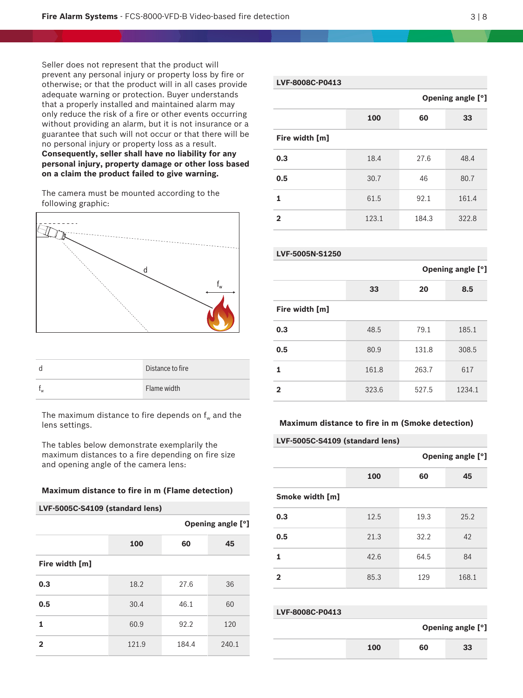Seller does not represent that the product will prevent any personal injury or property loss by fire or otherwise; or that the product will in all cases provide adequate warning or protection. Buyer understands that a properly installed and maintained alarm may only reduce the risk of a fire or other events occurring without providing an alarm, but it is not insurance or a guarantee that such will not occur or that there will be no personal injury or property loss as a result. **Consequently, seller shall have no liability for any personal injury, property damage or other loss based on a claim the product failed to give warning.**

The camera must be mounted according to the following graphic:



| d  | Distance to fire |
|----|------------------|
| ٠w | Flame width      |

The maximum distance to fire depends on  $f_w$  and the lens settings.

The tables below demonstrate exemplarily the maximum distances to a fire depending on fire size and opening angle of the camera lens:

#### **Maximum distance to fire in m (Flame detection)**

| LVF-5005C-S4109 (standard lens) |       |       |                   |  |
|---------------------------------|-------|-------|-------------------|--|
|                                 |       |       | Opening angle [°] |  |
|                                 | 100   | 60    | 45                |  |
| Fire width [m]                  |       |       |                   |  |
| 0.3                             | 18.2  | 27.6  | 36                |  |
| 0.5                             | 30.4  | 46.1  | 60                |  |
| 1                               | 60.9  | 92.2  | 120               |  |
| $\mathbf{2}$                    | 121.9 | 184.4 | 240.1             |  |

# **LVF-8008C-P0413**

|                 |       |       | Opening angle [°] |
|-----------------|-------|-------|-------------------|
|                 | 100   | 60    | 33                |
| Fire width [m]  |       |       |                   |
| 0.3             | 18.4  | 27.6  | 48.4              |
| 0.5             | 30.7  | 46    | 80.7              |
| 1               | 61.5  | 92.1  | 161.4             |
| $\overline{2}$  | 123.1 | 184.3 | 322.8             |
|                 |       |       |                   |
| LVF-5005N-S1250 |       |       |                   |

|       |       | <b>Opening angle [°]</b> |
|-------|-------|--------------------------|
| 33    | 20    | 8.5                      |
|       |       |                          |
| 48.5  | 79.1  | 185.1                    |
| 80.9  | 131.8 | 308.5                    |
| 161.8 | 263.7 | 617                      |
| 323.6 | 527.5 | 1234.1                   |
|       |       |                          |

#### **Maximum distance to fire in m (Smoke detection)**

#### **LVF-5005C-S4109 (standard lens)**

|                 |      | Opening angle [°] |       |
|-----------------|------|-------------------|-------|
|                 | 100  | 60                | 45    |
| Smoke width [m] |      |                   |       |
| 0.3             | 12.5 | 19.3              | 25.2  |
| 0.5             | 21.3 | 32.2              | 42    |
| 1               | 42.6 | 64.5              | 84    |
| $\mathbf{2}$    | 85.3 | 129               | 168.1 |

| LVF-8008C-P0413 |     |    |                   |  |
|-----------------|-----|----|-------------------|--|
|                 |     |    | Opening angle [°] |  |
|                 | 100 | 60 | 33                |  |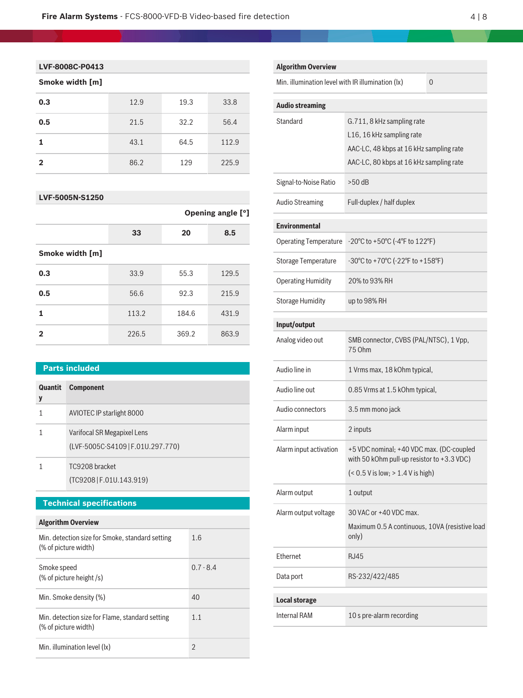# **Smoke width [m]**

| 0.3          | 12.9 | 19.3 | 33.8  |
|--------------|------|------|-------|
| 0.5          | 21.5 | 32.2 | 56.4  |
|              | 43.1 | 64.5 | 112.9 |
| $\mathbf{2}$ | 86.2 | 129  | 225.9 |

# **LVF-5005N-S1250**

| <b>Opening angle [°]</b> |       |       |
|--------------------------|-------|-------|
| 33                       | 20    | 8.5   |
|                          |       |       |
| 33.9                     | 55.3  | 129.5 |
| 56.6                     | 92.3  | 215.9 |
| 113.2                    | 184.6 | 431.9 |
| 226.5                    | 369.2 | 863.9 |
|                          |       |       |

# **Parts included**

| Quantit<br>y | <b>Component</b>                                                 |
|--------------|------------------------------------------------------------------|
| 1            | AVIOTEC IP starlight 8000                                        |
|              | Varifocal SR Megapixel Lens<br>(LVF-5005C-S4109   F.01U.297.770) |
|              | TC9208 bracket<br>(TC9208   F.01U.143.919)                       |
|              |                                                                  |
|              | <b>Technical specifications</b>                                  |

# **Algorithm Overview**

| Min. detection size for Smoke, standard setting<br>(% of picture width) | 1.6            |
|-------------------------------------------------------------------------|----------------|
| Smoke speed<br>$%$ of picture height $/s$ )                             | $0.7 - 8.4$    |
| Min. Smoke density (%)                                                  | 40             |
| Min. detection size for Flame, standard setting<br>(% of picture width) | 1.1            |
| Min. illumination level (lx)                                            | $\mathfrak{D}$ |

| <b>Algorithm Overview</b>                         |                                                                                                                                               |          |
|---------------------------------------------------|-----------------------------------------------------------------------------------------------------------------------------------------------|----------|
| Min. illumination level with IR illumination (lx) |                                                                                                                                               | $\Omega$ |
| <b>Audio streaming</b>                            |                                                                                                                                               |          |
| Standard                                          | G.711, 8 kHz sampling rate<br>L16, 16 kHz sampling rate<br>AAC-LC, 48 kbps at 16 kHz sampling rate<br>AAC-LC, 80 kbps at 16 kHz sampling rate |          |
| Signal-to-Noise Ratio                             | $>50$ dB                                                                                                                                      |          |
| <b>Audio Streaming</b>                            | Full-duplex / half duplex                                                                                                                     |          |
| <b>Environmental</b>                              |                                                                                                                                               |          |
| <b>Operating Temperature</b>                      | -20°C to +50°C (-4°F to 122°F)                                                                                                                |          |
| <b>Storage Temperature</b>                        | -30°C to +70°C (-22°F to +158°F)                                                                                                              |          |
| <b>Operating Humidity</b>                         | 20% to 93% RH                                                                                                                                 |          |
| <b>Storage Humidity</b>                           | up to 98% RH                                                                                                                                  |          |
| Input/output                                      |                                                                                                                                               |          |
| Analog video out                                  | SMB connector, CVBS (PAL/NTSC), 1 Vpp,<br>75 Ohm                                                                                              |          |
| Audio line in                                     | 1 Vrms max, 18 kOhm typical,                                                                                                                  |          |
| Audio line out                                    | 0.85 Vrms at 1.5 kOhm typical,                                                                                                                |          |
| Audio connectors                                  | 3.5 mm mono jack                                                                                                                              |          |
| Alarm input                                       | 2 inputs                                                                                                                                      |          |
| Alarm input activation                            | +5 VDC nominal; +40 VDC max. (DC-coupled<br>with 50 kOhm pull-up resistor to +3.3 VDC)<br>$($ < 0.5 V is low; $> 1.4$ V is high)              |          |
| Alarm output                                      | 1 output                                                                                                                                      |          |
| Alarm output voltage                              | 30 VAC or +40 VDC max.<br>Maximum 0.5 A continuous, 10VA (resistive load<br>only)                                                             |          |
| Ethernet                                          | <b>RJ45</b>                                                                                                                                   |          |
| Data port                                         | RS-232/422/485                                                                                                                                |          |
| <b>Local storage</b>                              |                                                                                                                                               |          |
| <b>Internal RAM</b>                               | 10 s pre-alarm recording                                                                                                                      |          |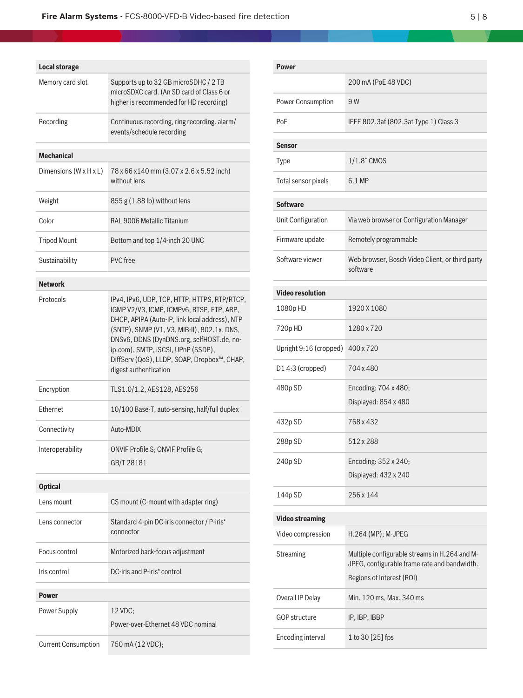| <b>Local storage</b>       |                                                                                                                                                                                                                                                                                                                                                       |
|----------------------------|-------------------------------------------------------------------------------------------------------------------------------------------------------------------------------------------------------------------------------------------------------------------------------------------------------------------------------------------------------|
| Memory card slot           | Supports up to 32 GB microSDHC / 2 TB<br>microSDXC card. (An SD card of Class 6 or<br>higher is recommended for HD recording)                                                                                                                                                                                                                         |
| Recording                  | Continuous recording, ring recording. alarm/<br>events/schedule recording                                                                                                                                                                                                                                                                             |
| <b>Mechanical</b>          |                                                                                                                                                                                                                                                                                                                                                       |
| Dimensions (W x H x L)     | 78 x 66 x 140 mm (3.07 x 2.6 x 5.52 inch)<br>without lens                                                                                                                                                                                                                                                                                             |
| Weight                     | $855 g (1.88 lb)$ without lens                                                                                                                                                                                                                                                                                                                        |
| Color                      | RAL 9006 Metallic Titanium                                                                                                                                                                                                                                                                                                                            |
| <b>Tripod Mount</b>        | Bottom and top 1/4-inch 20 UNC                                                                                                                                                                                                                                                                                                                        |
| Sustainability             | PVC free                                                                                                                                                                                                                                                                                                                                              |
| <b>Network</b>             |                                                                                                                                                                                                                                                                                                                                                       |
| Protocols                  | IPv4, IPv6, UDP, TCP, HTTP, HTTPS, RTP/RTCP,<br>IGMP V2/V3, ICMP, ICMPv6, RTSP, FTP, ARP,<br>DHCP, APIPA (Auto-IP, link local address), NTP<br>(SNTP), SNMP (V1, V3, MIB-II), 802.1x, DNS,<br>DNSv6, DDNS (DynDNS.org, selfHOST.de, no-<br>ip.com), SMTP, iSCSI, UPnP (SSDP),<br>DiffServ (QoS), LLDP, SOAP, Dropbox™, CHAP,<br>digest authentication |
| Encryption                 | TLS1.0/1.2, AES128, AES256                                                                                                                                                                                                                                                                                                                            |
| Ethernet                   | 10/100 Base-T, auto-sensing, half/full duplex                                                                                                                                                                                                                                                                                                         |
| Connectivity               | Auto-MDIX                                                                                                                                                                                                                                                                                                                                             |
| Interoperability           | ONVIF Profile S; ONVIF Profile G;<br>GB/T 28181                                                                                                                                                                                                                                                                                                       |
| <b>Optical</b>             |                                                                                                                                                                                                                                                                                                                                                       |
| Lens mount                 | CS mount (C-mount with adapter ring)                                                                                                                                                                                                                                                                                                                  |
| Lens connector             | Standard 4-pin DC-iris connector / P-iris*<br>connector                                                                                                                                                                                                                                                                                               |
| Focus control              | Motorized back-focus adjustment                                                                                                                                                                                                                                                                                                                       |
| Iris control               | DC-iris and P-iris* control                                                                                                                                                                                                                                                                                                                           |
| <b>Power</b>               |                                                                                                                                                                                                                                                                                                                                                       |
| Power Supply               | 12 VDC;<br>Power-over-Ethernet 48 VDC nominal                                                                                                                                                                                                                                                                                                         |
| <b>Current Consumption</b> | 750 mA (12 VDC);                                                                                                                                                                                                                                                                                                                                      |

| <b>Power</b>            |                                                                                                                            |  |
|-------------------------|----------------------------------------------------------------------------------------------------------------------------|--|
|                         | 200 mA (PoE 48 VDC)                                                                                                        |  |
| Power Consumption       | 9 W                                                                                                                        |  |
| PoE                     | IEEE 802.3af (802.3at Type 1) Class 3                                                                                      |  |
| <b>Sensor</b>           |                                                                                                                            |  |
| Type                    | 1/1.8" CMOS                                                                                                                |  |
| Total sensor pixels     | 6.1 MP                                                                                                                     |  |
| <b>Software</b>         |                                                                                                                            |  |
| Unit Configuration      | Via web browser or Configuration Manager                                                                                   |  |
| Firmware update         | Remotely programmable                                                                                                      |  |
| Software viewer         | Web browser, Bosch Video Client, or third party<br>software                                                                |  |
| <b>Video resolution</b> |                                                                                                                            |  |
| 1080pHD                 | 1920 X 1080                                                                                                                |  |
| 720pHD                  | 1280 x 720                                                                                                                 |  |
| Upright 9:16 (cropped)  | 400 x 720                                                                                                                  |  |
| D1 4:3 (cropped)        | 704 x 480                                                                                                                  |  |
| 480p SD                 | Encoding: 704 x 480;<br>Displayed: 854 x 480                                                                               |  |
| 432p SD                 | 768 x 432                                                                                                                  |  |
| 288p SD                 | 512 x 288                                                                                                                  |  |
| 240p SD                 | Encoding: 352 x 240;<br>Displayed: 432 x 240                                                                               |  |
| 144p SD                 | 256 x 144                                                                                                                  |  |
| <b>Video streaming</b>  |                                                                                                                            |  |
| Video compression       | H.264 (MP); M-JPEG                                                                                                         |  |
| Streaming               | Multiple configurable streams in H.264 and M-<br>JPEG, configurable frame rate and bandwidth.<br>Regions of Interest (ROI) |  |
| Overall IP Delay        | Min. 120 ms, Max. 340 ms                                                                                                   |  |
| <b>GOP structure</b>    | IP, IBP, IBBP                                                                                                              |  |
| Encoding interval       | 1 to 30 [25] fps                                                                                                           |  |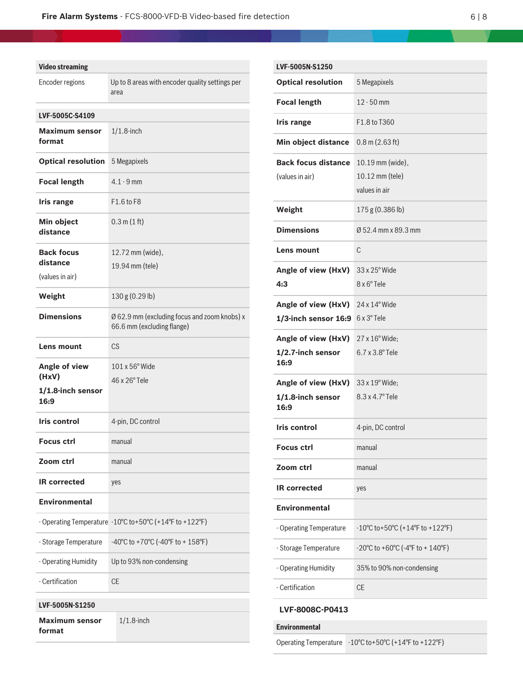| <b>Video streaming</b>          |                                                                            |
|---------------------------------|----------------------------------------------------------------------------|
| Encoder regions                 | Up to 8 areas with encoder quality settings per<br>area                    |
| <b>LVF-5005C-S4109</b>          |                                                                            |
| <b>Maximum sensor</b><br>format | $1/1.8$ -inch                                                              |
| <b>Optical resolution</b>       | 5 Megapixels                                                               |
| <b>Focal length</b>             | $4.1 - 9$ mm                                                               |
| <b>Iris range</b>               | F1.6 to F8                                                                 |
| Min object<br>distance          | 0.3 m(1 ft)                                                                |
| <b>Back focus</b>               | 12.72 mm (wide),                                                           |
| distance<br>(values in air)     | 19.94 mm (tele)                                                            |
| Weight                          | 130 g (0.29 lb)                                                            |
| <b>Dimensions</b>               | Ø 62.9 mm (excluding focus and zoom knobs) x<br>66.6 mm (excluding flange) |
| Lens mount                      | CS                                                                         |
| Angle of view<br>(HxV)          | 101 x 56° Wide                                                             |
| 1/1.8-inch sensor<br>16:9       | $46 \times 26^\circ$ Tele                                                  |
| Iris control                    | 4-pin, DC control                                                          |
| <b>Focus ctrl</b>               | manual                                                                     |
| Zoom ctrl                       | manual                                                                     |
| <b>IR corrected</b>             | yes                                                                        |
| <b>Environmental</b>            |                                                                            |
|                                 | - Operating Temperature -10°C to+50°C (+14°F to +122°F)                    |
| - Storage Temperature           | -40°C to +70°C (-40°F to + 158°F)                                          |
| - Operating Humidity            | Up to 93% non-condensing                                                   |
| - Certification                 | <b>CE</b>                                                                  |

**Maximum sensor**

1/1.8‑inch

**format**

| LVF-5005N-S1250            |                                                                            |
|----------------------------|----------------------------------------------------------------------------|
| <b>Optical resolution</b>  | 5 Megapixels                                                               |
| <b>Focal length</b>        | $12 - 50$ mm                                                               |
| <b>Iris range</b>          | F1.8 to T360                                                               |
| Min object distance        | $0.8$ m $(2.63$ ft)                                                        |
| <b>Back focus distance</b> | 10.19 mm (wide),                                                           |
| (values in air)            | 10.12 mm (tele)                                                            |
|                            | values in air                                                              |
| Weight                     | 175g (0.386 lb)                                                            |
| <b>Dimensions</b>          | Ø 52.4 mm x 89.3 mm                                                        |
| Lens mount                 | C                                                                          |
| Angle of view (HxV)        | 33 x 25° Wide                                                              |
| 4:3                        | 8 x 6° Tele                                                                |
| Angle of view (HxV)        | $24 \times 14^{\circ}$ Wide                                                |
| 1/3-inch sensor 16:9       | $6 \times 3^\circ$ Tele                                                    |
| Angle of view (HxV)        | 27 x 16° Wide;                                                             |
| 1/2.7-inch sensor<br>16:9  | $6.7$ x $3.8^{\circ}$ Tele                                                 |
| Angle of view (HxV)        | 33 x 19° Wide;                                                             |
| 1/1.8-inch sensor<br>16:9  | 8.3 x 4.7° Tele                                                            |
| <b>Iris control</b>        | 4-pin, DC control                                                          |
| <b>Focus ctrl</b>          | manual                                                                     |
| Zoom ctrl                  | manual                                                                     |
| <b>IR corrected</b>        | yes                                                                        |
| <b>Environmental</b>       |                                                                            |
| - Operating Temperature    | $-10^{\circ}$ C to+50 $^{\circ}$ C (+14 $^{\circ}$ F to +122 $^{\circ}$ F) |
| - Storage Temperature      | $-20^{\circ}$ C to $+60^{\circ}$ C ( $-4^{\circ}$ F to $+140^{\circ}$ F)   |
| - Operating Humidity       | 35% to 90% non-condensing                                                  |
| - Certification            | <b>CE</b>                                                                  |
|                            |                                                                            |

#### **LVF-8008C-P0413**

**Environmental**

Operating Temperature -10°C to+50°C (+14°F to +122°F)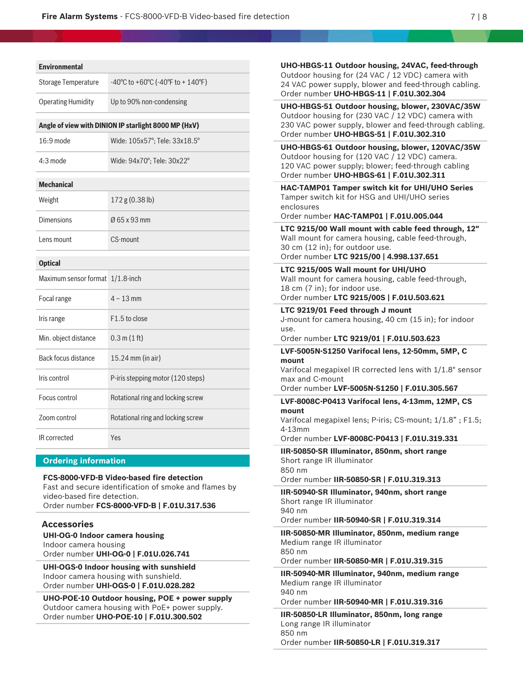| <b>Environmental</b>                                                                                                       |                                                                                                                                                   |  |  |
|----------------------------------------------------------------------------------------------------------------------------|---------------------------------------------------------------------------------------------------------------------------------------------------|--|--|
| Storage Temperature                                                                                                        | -40°C to +60°C (-40°F to + 140°F)                                                                                                                 |  |  |
| <b>Operating Humidity</b>                                                                                                  | Up to 90% non-condensing                                                                                                                          |  |  |
| Angle of view with DINION IP starlight 8000 MP (HxV)                                                                       |                                                                                                                                                   |  |  |
| 16:9 mode                                                                                                                  | Wide: 105x57°; Tele: 33x18.5°                                                                                                                     |  |  |
| 4:3 mode                                                                                                                   | Wide: 94x70°; Tele: 30x22°                                                                                                                        |  |  |
| <b>Mechanical</b>                                                                                                          |                                                                                                                                                   |  |  |
| Weight                                                                                                                     | 172 g (0.38 lb)                                                                                                                                   |  |  |
| <b>Dimensions</b>                                                                                                          | Ø 65 x 93 mm                                                                                                                                      |  |  |
| Lens mount                                                                                                                 | CS-mount                                                                                                                                          |  |  |
| <b>Optical</b>                                                                                                             |                                                                                                                                                   |  |  |
| Maximum sensor format 1/1.8-inch                                                                                           |                                                                                                                                                   |  |  |
| Focal range                                                                                                                | $4 - 13$ mm                                                                                                                                       |  |  |
| Iris range                                                                                                                 | F1.5 to close                                                                                                                                     |  |  |
| Min. object distance                                                                                                       | 0.3 m(1 ft)                                                                                                                                       |  |  |
| Back focus distance                                                                                                        | 15.24 mm (in air)                                                                                                                                 |  |  |
| Iris control                                                                                                               | P-iris stepping motor (120 steps)                                                                                                                 |  |  |
| Focus control                                                                                                              | Rotational ring and locking screw                                                                                                                 |  |  |
| Zoom control                                                                                                               | Rotational ring and locking screw                                                                                                                 |  |  |
| IR corrected                                                                                                               | Yes                                                                                                                                               |  |  |
| <b>Ordering information</b>                                                                                                |                                                                                                                                                   |  |  |
| video-based fire detection.<br><b>Accessories</b>                                                                          | FCS-8000-VFD-B Video-based fire detection<br>Fast and secure identification of smoke and flames by<br>Order number FCS-8000-VFD-B   F.01U.317.536 |  |  |
| <b>UHI-OG-0 Indoor camera housing</b><br>Indoor camera housing                                                             | Order number UHI-OG-0   F.01U.026.741                                                                                                             |  |  |
| UHI-OGS-0 Indoor housing with sunshield<br>Indoor camera housing with sunshield.<br>Order number UHI-OGS-0   F.01U.028.282 |                                                                                                                                                   |  |  |

**UHO-POE-10 Outdoor housing, POE + power supply** Outdoor camera housing with PoE+ power supply. Order number **UHO-POE-10 | F.01U.300.502**

| UHO-HBGS-11 Outdoor housing, 24VAC, feed-through<br>Outdoor housing for (24 VAC / 12 VDC) camera with<br>24 VAC power supply, blower and feed-through cabling.<br>Order number UHO-HBGS-11   F.01U.302.304  |
|-------------------------------------------------------------------------------------------------------------------------------------------------------------------------------------------------------------|
| UHO-HBGS-51 Outdoor housing, blower, 230VAC/35W<br>Outdoor housing for (230 VAC / 12 VDC) camera with<br>230 VAC power supply, blower and feed-through cabling.<br>Order number UHO-HBGS-51   F.01U.302.310 |
| UHO-HBGS-61 Outdoor housing, blower, 120VAC/35W<br>Outdoor housing for (120 VAC / 12 VDC) camera.<br>120 VAC power supply; blower; feed-through cabling<br>Order number UHO-HBGS-61   F.01U.302.311         |
| HAC-TAMP01 Tamper switch kit for UHI/UHO Series<br>Tamper switch kit for HSG and UHI/UHO series<br>enclosures<br>Order number HAC-TAMP01   F.01U.005.044                                                    |
| LTC 9215/00 Wall mount with cable feed through, 12"<br>Wall mount for camera housing, cable feed-through,<br>30 cm (12 in); for outdoor use.<br>Order number LTC 9215/00   4.998.137.651                    |
| LTC 9215/00S Wall mount for UHI/UHO<br>Wall mount for camera housing, cable feed-through,<br>18 cm (7 in); for indoor use.<br>Order number LTC 9215/00S   F.01U.503.621                                     |
| LTC 9219/01 Feed through J mount<br>J-mount for camera housing, 40 cm (15 in); for indoor<br>use.<br>Order number LTC 9219/01   F.01U.503.623                                                               |
| LVF-5005N-S1250 Varifocal lens, 12-50mm, 5MP, C                                                                                                                                                             |
| mount<br>Varifocal megapixel IR corrected lens with 1/1.8" sensor<br>max and C-mount                                                                                                                        |
| Order number LVF-5005N-S1250   F.01U.305.567                                                                                                                                                                |
| LVF-8008C-P0413 Varifocal lens, 4-13mm, 12MP, CS<br>mount<br>Varifocal megapixel lens; P-iris; CS-mount; 1/1.8"; F1.5;<br>4-13mm                                                                            |
| Order number LVF-8008C-P0413   F.01U.319.331                                                                                                                                                                |
| IIR-50850-SR Illuminator, 850nm, short range<br>Short range IR illuminator<br>850 nm<br>Order number IIR-50850-SR   F.01U.319.313                                                                           |
| IIR-50940-SR Illuminator, 940nm, short range<br>Short range IR illuminator<br>940 nm<br>Order number IIR-50940-SR   F.01U.319.314                                                                           |
| IIR-50850-MR Illuminator, 850nm, medium range<br>Medium range IR illuminator<br>850 nm<br>Order number IIR-50850-MR   F.01U.319.315                                                                         |
| IIR-50940-MR Illuminator, 940nm, medium range                                                                                                                                                               |
| Medium range IR illuminator<br>940 nm<br>Order number IIR-50940-MR   F.01U.319.316                                                                                                                          |
| IIR-50850-LR Illuminator, 850nm, long range<br>Long range IR illuminator<br>850 nm<br>Order number IIR-50850-LR   F.01U.319.317                                                                             |